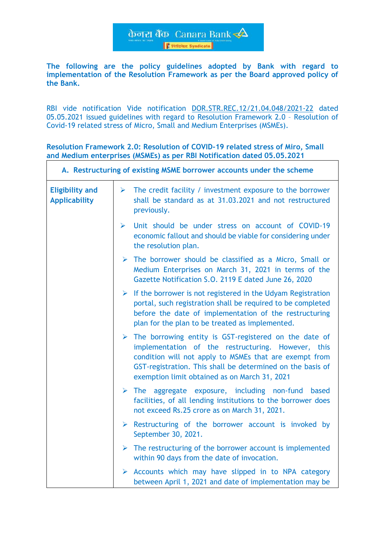केनरा बैंक Canara Bank **Friends** Syndicate

**The following are the policy guidelines adopted by Bank with regard to implementation of the Resolution Framework as per the Board approved policy of the Bank.**

RBI vide notification Vide notification [DOR.STR.REC.12/21.04.048/2021-22](https://www.rbi.org.in/Scripts/NotificationUser.aspx?Id=12086&Mode=0) dated 05.05.2021 issued guidelines with regard to Resolution Framework 2.0 – Resolution of Covid-19 related stress of Micro, Small and Medium Enterprises (MSMEs).

**Resolution Framework 2.0: Resolution of COVID-19 related stress of Miro, Small and Medium enterprises (MSMEs) as per RBI Notification dated 05.05.2021**

| A. Restructuring of existing MSME borrower accounts under the scheme |                       |                                                                                                                                                                                                                                                                                                       |
|----------------------------------------------------------------------|-----------------------|-------------------------------------------------------------------------------------------------------------------------------------------------------------------------------------------------------------------------------------------------------------------------------------------------------|
| <b>Eligibility and</b><br><b>Applicability</b>                       | $\blacktriangleright$ | The credit facility / investment exposure to the borrower<br>shall be standard as at 31.03.2021 and not restructured<br>previously.                                                                                                                                                                   |
|                                                                      | $\blacktriangleright$ | Unit should be under stress on account of COVID-19<br>economic fallout and should be viable for considering under<br>the resolution plan.                                                                                                                                                             |
|                                                                      | $\blacktriangleright$ | The borrower should be classified as a Micro, Small or<br>Medium Enterprises on March 31, 2021 in terms of the<br>Gazette Notification S.O. 2119 E dated June 26, 2020                                                                                                                                |
|                                                                      |                       | $\triangleright$ If the borrower is not registered in the Udyam Registration<br>portal, such registration shall be required to be completed<br>before the date of implementation of the restructuring<br>plan for the plan to be treated as implemented.                                              |
|                                                                      |                       | $\triangleright$ The borrowing entity is GST-registered on the date of<br>implementation of the restructuring. However, this<br>condition will not apply to MSMEs that are exempt from<br>GST-registration. This shall be determined on the basis of<br>exemption limit obtained as on March 31, 2021 |
|                                                                      |                       | $\triangleright$ The aggregate exposure, including non-fund based<br>facilities, of all lending institutions to the borrower does<br>not exceed Rs.25 crore as on March 31, 2021.                                                                                                                     |
|                                                                      |                       | $\triangleright$ Restructuring of the borrower account is invoked by<br>September 30, 2021.                                                                                                                                                                                                           |
|                                                                      | $\blacktriangleright$ | The restructuring of the borrower account is implemented<br>within 90 days from the date of invocation.                                                                                                                                                                                               |
|                                                                      | ➤                     | Accounts which may have slipped in to NPA category<br>between April 1, 2021 and date of implementation may be                                                                                                                                                                                         |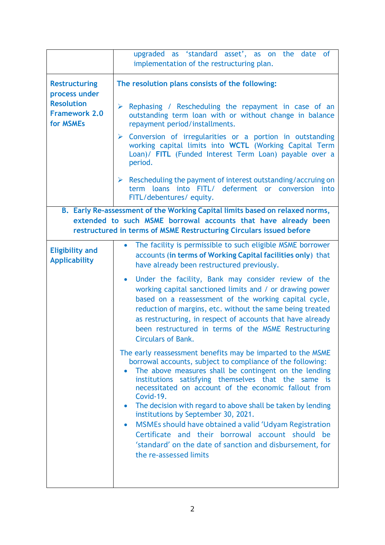|                                                            | upgraded as 'standard asset', as on the date of<br>implementation of the restructuring plan.                                                                                                                                                                                                                                                                                                          |
|------------------------------------------------------------|-------------------------------------------------------------------------------------------------------------------------------------------------------------------------------------------------------------------------------------------------------------------------------------------------------------------------------------------------------------------------------------------------------|
| <b>Restructuring</b><br>process under<br><b>Resolution</b> | The resolution plans consists of the following:<br>Rephasing / Rescheduling the repayment in case of an<br>➤                                                                                                                                                                                                                                                                                          |
| <b>Framework 2.0</b><br>for MSMEs                          | outstanding term loan with or without change in balance<br>repayment period/installments.                                                                                                                                                                                                                                                                                                             |
|                                                            | $\triangleright$ Conversion of irregularities or a portion in outstanding<br>working capital limits into WCTL (Working Capital Term<br>Loan)/ FITL (Funded Interest Term Loan) payable over a<br>period.                                                                                                                                                                                              |
|                                                            | $\triangleright$ Rescheduling the payment of interest outstanding/accruing on<br>term loans into FITL/ deferment or conversion into<br>FITL/debentures/equity.                                                                                                                                                                                                                                        |
|                                                            | B. Early Re-assessment of the Working Capital limits based on relaxed norms,                                                                                                                                                                                                                                                                                                                          |
|                                                            | extended to such MSME borrowal accounts that have already been                                                                                                                                                                                                                                                                                                                                        |
|                                                            | restructured in terms of MSME Restructuring Circulars issued before                                                                                                                                                                                                                                                                                                                                   |
| <b>Eligibility and</b><br><b>Applicability</b>             | The facility is permissible to such eligible MSME borrower<br>$\bullet$<br>accounts (in terms of Working Capital facilities only) that<br>have already been restructured previously.                                                                                                                                                                                                                  |
|                                                            | Under the facility, Bank may consider review of the<br>$\bullet$<br>working capital sanctioned limits and / or drawing power<br>based on a reassessment of the working capital cycle,<br>reduction of margins, etc. without the same being treated<br>as restructuring, in respect of accounts that have already<br>been restructured in terms of the MSME Restructuring<br><b>Circulars of Bank.</b> |
|                                                            | The early reassessment benefits may be imparted to the MSME<br>borrowal accounts, subject to compliance of the following:<br>The above measures shall be contingent on the lending<br>$\bullet$<br>institutions satisfying themselves that the same is<br>necessitated on account of the economic fallout from<br>Covid-19.                                                                           |
|                                                            | The decision with regard to above shall be taken by lending<br>institutions by September 30, 2021.                                                                                                                                                                                                                                                                                                    |
|                                                            | MSMEs should have obtained a valid 'Udyam Registration<br>Certificate and their borrowal account should be<br>'standard' on the date of sanction and disbursement, for<br>the re-assessed limits                                                                                                                                                                                                      |
|                                                            |                                                                                                                                                                                                                                                                                                                                                                                                       |